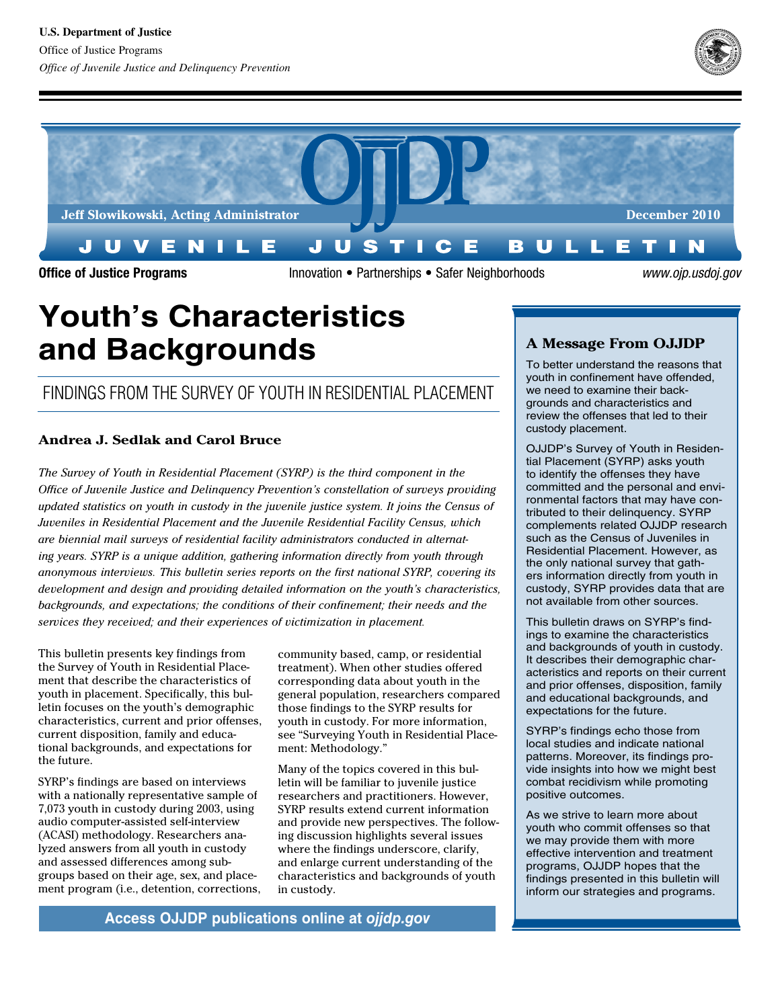



Office of Justice Programs **Innovation** • Partnerships • Safer Neighborhoods *www.ojp.usdoj.gov* 

# **Youth's Characteristics and Backgrounds**

# Findings From the survey oF youth in residential Placement

## **Andrea J. Sedlak and Carol Bruce**

*The Survey of Youth in Residential Placement (SYRP) is the third component in the Office of Juvenile Justice and Delinquency Prevention's constellation of surveys providing updated statistics on youth in custody in the juvenile justice system. It joins the Census of Juveniles in Residential Placement and the Juvenile Residential Facility Census, which are biennial mail surveys of residential facility administrators conducted in alternating years. SYRP is a unique addition, gathering information directly from youth through anonymous interviews. This bulletin series reports on the first national SYRP, covering its development and design and providing detailed information on the youth's characteristics, backgrounds, and expectations; the conditions of their confinement; their needs and the services they received; and their experiences of victimization in placement.* 

This bulletin presents key findings from the Survey of Youth in Residential Placement that describe the characteristics of youth in placement. Specifically, this bulletin focuses on the youth's demographic characteristics, current and prior offenses, current disposition, family and educational backgrounds, and expectations for the future.

SYRP's findings are based on interviews with a nationally representative sample of 7,073 youth in custody during 2003, using audio computer-assisted self-interview (ACASI) methodology. Researchers analyzed answers from all youth in custody and assessed differences among subgroups based on their age, sex, and placement program (i.e., detention, corrections, community based, camp, or residential treatment). When other studies offered corresponding data about youth in the general population, researchers compared those findings to the SYRP results for youth in custody. For more information, see "Surveying Youth in Residential Placement: Methodology."

Many of the topics covered in this bulletin will be familiar to juvenile justice researchers and practitioners. However, SYRP results extend current information and provide new perspectives. The following discussion highlights several issues where the findings underscore, clarify, and enlarge current understanding of the characteristics and backgrounds of youth in custody.

# **A Message From OJJDP**

To better understand the reasons that youth in confinement have offended, we need to examine their backgrounds and characteristics and review the offenses that led to their custody placement.

OJJDP's Survey of Youth in Residential Placement (SYRP) asks youth to identify the offenses they have committed and the personal and environmental factors that may have contributed to their delinquency. SYRP complements related OJJDP research such as the Census of Juveniles in Residential Placement. However, as the only national survey that gathers information directly from youth in custody, SYRP provides data that are not available from other sources.

This bulletin draws on SYRP's findings to examine the characteristics and backgrounds of youth in custody. It describes their demographic characteristics and reports on their current and prior offenses, disposition, family and educational backgrounds, and expectations for the future.

SYRP's findings echo those from local studies and indicate national patterns. Moreover, its findings provide insights into how we might best combat recidivism while promoting positive outcomes.

As we strive to learn more about youth who commit offenses so that we may provide them with more effective intervention and treatment programs, OJJDP hopes that the findings presented in this bulletin will inform our strategies and programs.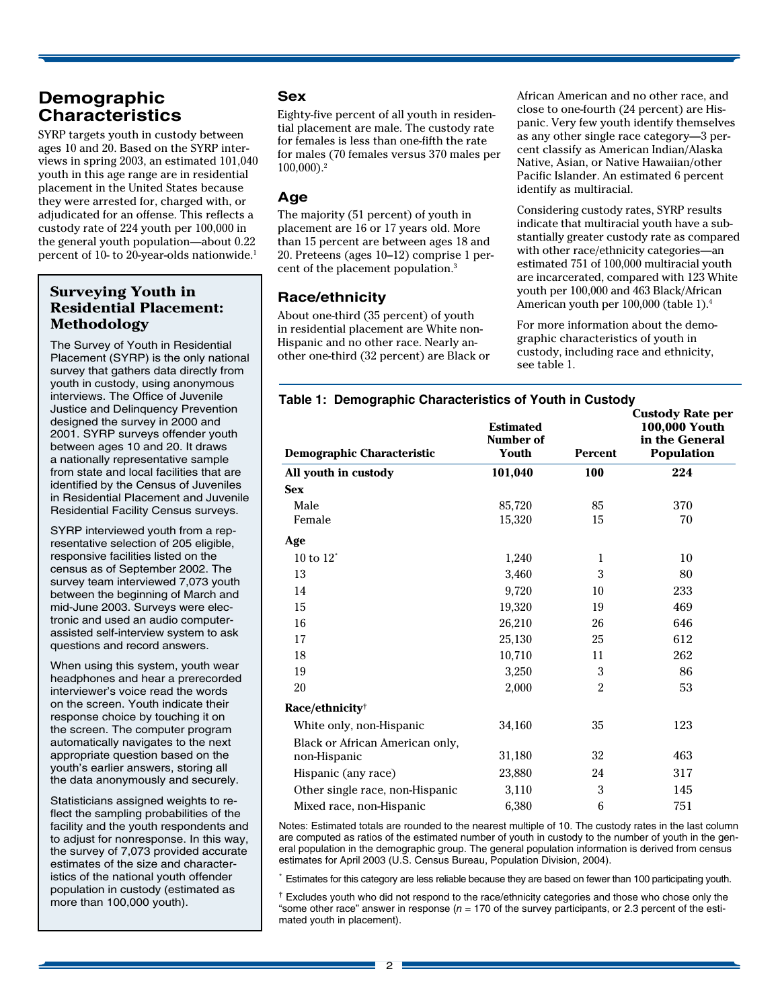# **Demographic Characteristics**

SYRP targets youth in custody between ages 10 and 20. Based on the SYRP interviews in spring 2003, an estimated 101,040 youth in this age range are in residential placement in the United States because they were arrested for, charged with, or adjudicated for an offense. This reflects a custody rate of 224 youth per 100,000 in the general youth population—about 0.22 percent of 10- to 20-year-olds nationwide.<sup>1</sup>

#### **Surveying Youth in Residential Placement: Methodology**

 The Survey of Youth in Residential Placement (SYRP) is the only national survey that gathers data directly from youth in custody, using anonymous interviews. The Office of Juvenile Justice and Delinquency Prevention designed the survey in 2000 and 2001. SYRP surveys offender youth between ages 10 and 20. It draws a nationally representative sample from state and local facilities that are identified by the Census of Juveniles in Residential Placement and Juvenile Residential Facility Census surveys.

 SYRP interviewed youth from a rep- resentative selection of 205 eligible, responsive facilities listed on the census as of September 2002. The survey team interviewed 7,073 youth between the beginning of March and mid-June 2003. Surveys were elec- tronic and used an audio computer- assisted self-interview system to ask questions and record answers.

 When using this system, youth wear headphones and hear a prerecorded interviewer's voice read the words on the screen. Youth indicate their response choice by touching it on the screen. The computer program automatically navigates to the next appropriate question based on the youth's earlier answers, storing all the data anonymously and securely.

 Statisticians assigned weights to re- flect the sampling probabilities of the facility and the youth respondents and to adjust for nonresponse. In this way, the survey of 7,073 provided accurate estimates of the size and character- istics of the national youth offender population in custody (estimated as more than 100,000 youth).

#### **Sex**

Eighty-five percent of all youth in residential placement are male. The custody rate for females is less than one-fifth the rate for males (70 females versus 370 males per 100,000).2

#### **Age**

The majority (51 percent) of youth in placement are 16 or 17 years old. More than 15 percent are between ages 18 and 20. Preteens (ages 10–12) comprise 1 percent of the placement population.3

## **Race/ethnicity**

About one-third (35 percent) of youth in residential placement are White non-Hispanic and no other race. Nearly another one-third (32 percent) are Black or African American and no other race, and close to one-fourth (24 percent) are Hispanic. Very few youth identify themselves as any other single race category—3 percent classify as American Indian/Alaska Native, Asian, or Native Hawaiian/other Pacific Islander. An estimated 6 percent identify as multiracial.

 Considering custody rates, SYRP results indicate that multiracial youth have a sub- stantially greater custody rate as compared with other race/ethnicity categories—an estimated 751 of 100,000 multiracial youth are incarcerated, compared with 123 White youth per 100,000 and 463 Black/African American youth per 100,000 (table 1).<sup>4</sup>

For more information about the demographic characteristics of youth in custody, including race and ethnicity, see table 1.

#### **Table 1: Demographic Characteristics of Youth in Custody**

| <b>Demographic Characteristic</b>               | <b>Estimated</b><br>Number of<br>Youth | <b>Percent</b> | <b>Custody Rate per</b><br>100,000 Youth<br>in the General<br><b>Population</b> |
|-------------------------------------------------|----------------------------------------|----------------|---------------------------------------------------------------------------------|
| All youth in custody                            | 101,040                                | 100            | 224                                                                             |
| <b>Sex</b>                                      |                                        |                |                                                                                 |
| Male                                            | 85,720                                 | 85             | 370                                                                             |
| Female                                          | 15,320                                 | 15             | 70                                                                              |
| Age                                             |                                        |                |                                                                                 |
| 10 to $12^*$                                    | 1,240                                  | $\mathbf{1}$   | 10                                                                              |
| 13                                              | 3,460                                  | 3              | 80                                                                              |
| 14                                              | 9,720                                  | 10             | 233                                                                             |
| 15                                              | 19,320                                 | 19             | 469                                                                             |
| 16                                              | 26,210                                 | 26             | 646                                                                             |
| 17                                              | 25,130                                 | 25             | 612                                                                             |
| 18                                              | 10,710                                 | 11             | 262                                                                             |
| 19                                              | 3,250                                  | 3              | 86                                                                              |
| 20                                              | 2,000                                  | $\overline{2}$ | 53                                                                              |
| Race/ethnicity <sup>†</sup>                     |                                        |                |                                                                                 |
| White only, non-Hispanic                        | 34,160                                 | $35\,$         | 123                                                                             |
| Black or African American only,<br>non-Hispanic | 31,180                                 | 32             | 463                                                                             |
| Hispanic (any race)                             | 23,880                                 | 24             | 317                                                                             |
| Other single race, non-Hispanic                 | 3,110                                  | 3              | 145                                                                             |
| Mixed race, non-Hispanic                        | 6,380                                  | 6              | 751                                                                             |

Notes: Estimated totals are rounded to the nearest multiple of 10. The custody rates in the last column are computed as ratios of the estimated number of youth in custody to the number of youth in the general population in the demographic group. The general population information is derived from census estimates for April 2003 (U.S. Census Bureau, Population Division, 2004).

\* Estimates for this category are less reliable because they are based on fewer than 100 participating youth.

**†** Excludes youth who did not respond to the race/ethnicity categories and those who chose only the "some other race" answer in response (*n* = 170 of the survey participants, or 2.3 percent of the estimated youth in placement).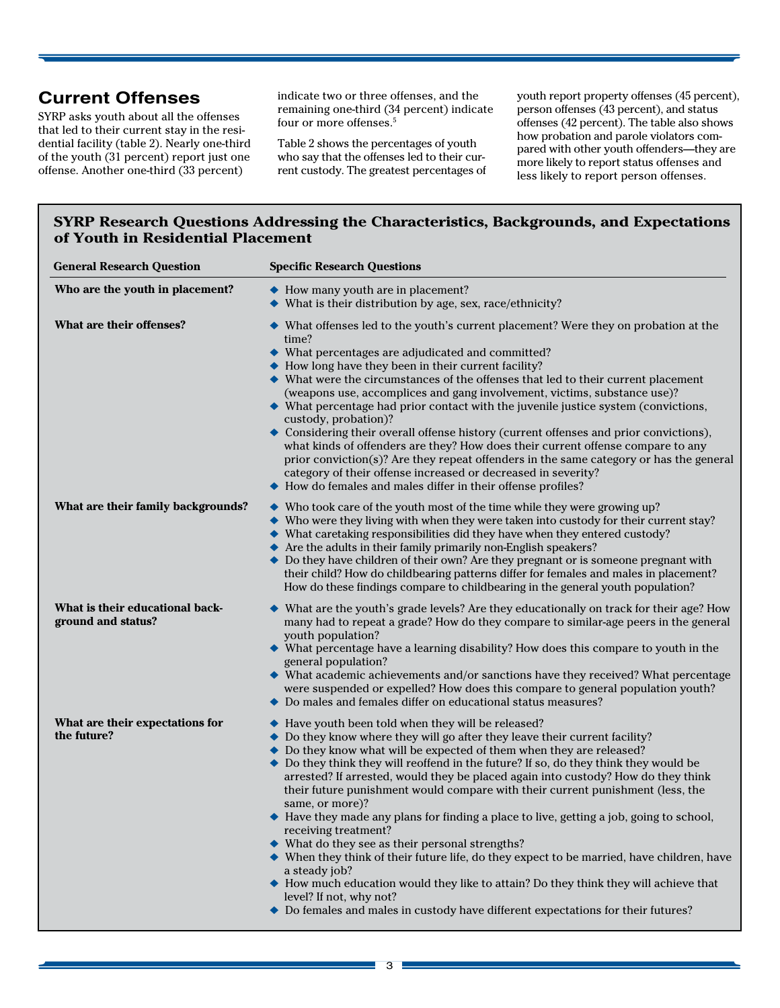SYRP asks youth about all the offenses that led to their current stay in the residential facility (table 2). Nearly one-third of the youth (31 percent) report just one offense. Another one-third (33 percent)

indicate two or three offenses, and the remaining one-third (34 percent) indicate four or more offenses.<sup>5</sup>

 Table 2 shows the percentages of youth who say that the offenses led to their cur-rent custody. The greatest percentages of

**Current Offenses** indicate two or three offenses, and the youth report property offenses (45 percent), person offenses (43 percent), and status offenses (42 percent). The table also shows how probation and parole violators com- pared with other youth offenders—they are more likely to report status offenses and less likely to report person offenses.

#### **SYRP Research Questions Addressing the Characteristics, Backgrounds, and Expectations of Youth in Residential Placement**

| <b>General Research Question</b>                      | <b>Specific Research Questions</b>                                                                                                                                                                                                                                                                                                                                                                                                                                                                                                                                                                                                                                                                                                                                                                                                                                                                                                                                                            |  |  |  |
|-------------------------------------------------------|-----------------------------------------------------------------------------------------------------------------------------------------------------------------------------------------------------------------------------------------------------------------------------------------------------------------------------------------------------------------------------------------------------------------------------------------------------------------------------------------------------------------------------------------------------------------------------------------------------------------------------------------------------------------------------------------------------------------------------------------------------------------------------------------------------------------------------------------------------------------------------------------------------------------------------------------------------------------------------------------------|--|--|--|
| Who are the youth in placement?                       | • How many youth are in placement?<br>$\blacklozenge$ What is their distribution by age, sex, race/ethnicity?                                                                                                                                                                                                                                                                                                                                                                                                                                                                                                                                                                                                                                                                                                                                                                                                                                                                                 |  |  |  |
| What are their offenses?                              | ◆ What offenses led to the youth's current placement? Were they on probation at the<br>time?<br>◆ What percentages are adjudicated and committed?<br>• How long have they been in their current facility?<br>$\blacklozenge$ What were the circumstances of the offenses that led to their current placement<br>(weapons use, accomplices and gang involvement, victims, substance use)?<br>◆ What percentage had prior contact with the juvenile justice system (convictions,<br>custody, probation)?<br>Considering their overall offense history (current offenses and prior convictions),<br>what kinds of offenders are they? How does their current offense compare to any<br>prior conviction(s)? Are they repeat offenders in the same category or has the general<br>category of their offense increased or decreased in severity?<br>How do females and males differ in their offense profiles?                                                                                     |  |  |  |
| What are their family backgrounds?                    | $\blacktriangleright$ Who took care of the youth most of the time while they were growing up?<br>$\blacklozenge$ Who were they living with when they were taken into custody for their current stay?<br>$\blacklozenge$ What caretaking responsibilities did they have when they entered custody?<br>Are the adults in their family primarily non-English speakers?<br>◆ Do they have children of their own? Are they pregnant or is someone pregnant with<br>their child? How do childbearing patterns differ for females and males in placement?<br>How do these findings compare to childbearing in the general youth population?                                                                                                                                                                                                                                                                                                                                                          |  |  |  |
| What is their educational back-<br>ground and status? | What are the youth's grade levels? Are they educationally on track for their age? How<br>many had to repeat a grade? How do they compare to similar-age peers in the general<br>youth population?<br>$\blacklozenge$ What percentage have a learning disability? How does this compare to youth in the<br>general population?<br>$\blacklozenge$ What academic achievements and/or sanctions have they received? What percentage<br>were suspended or expelled? How does this compare to general population youth?<br>◆ Do males and females differ on educational status measures?                                                                                                                                                                                                                                                                                                                                                                                                           |  |  |  |
| What are their expectations for<br>the future?        | • Have youth been told when they will be released?<br>◆ Do they know where they will go after they leave their current facility?<br>$\bullet$ Do they know what will be expected of them when they are released?<br>◆ Do they think they will reoffend in the future? If so, do they think they would be<br>arrested? If arrested, would they be placed again into custody? How do they think<br>their future punishment would compare with their current punishment (less, the<br>same, or more)?<br>• Have they made any plans for finding a place to live, getting a job, going to school,<br>receiving treatment?<br>◆ What do they see as their personal strengths?<br>◆ When they think of their future life, do they expect to be married, have children, have<br>a steady job?<br>• How much education would they like to attain? Do they think they will achieve that<br>level? If not, why not?<br>◆ Do females and males in custody have different expectations for their futures? |  |  |  |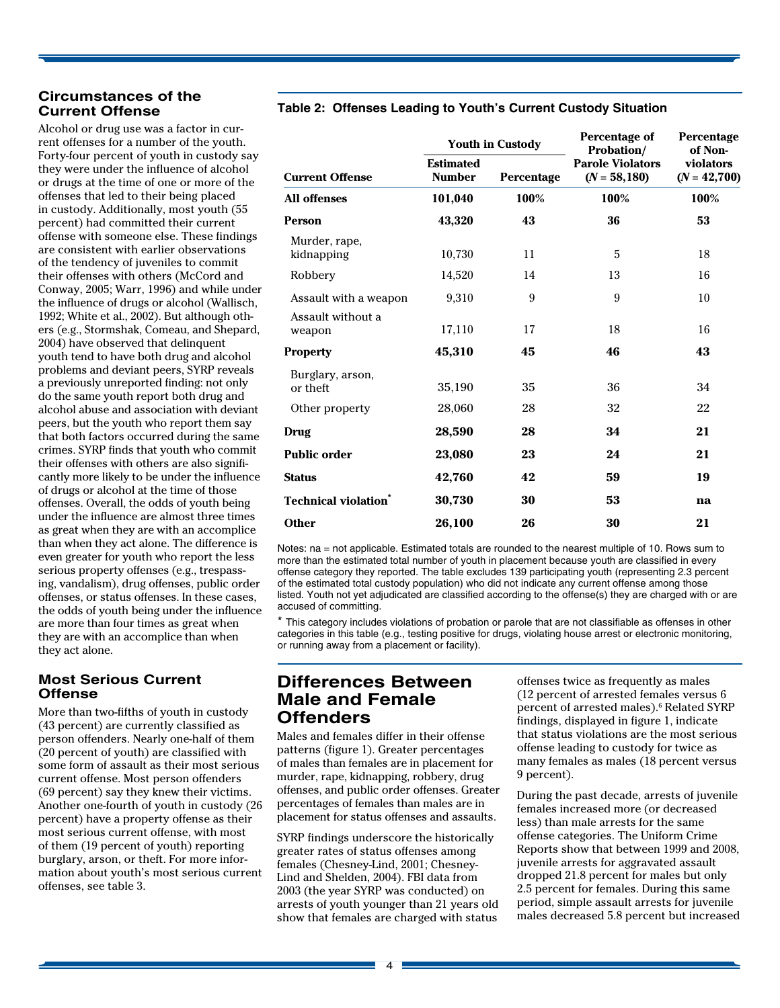# **Circumstances of the**

 the influence of drugs or alcohol (Wallisch, 1992; White et al., 2002). But although oth- ers (e.g., Stormshak, Comeau, and Shepard, 2004) have observed that delinquent youth tend to have both drug and alcohol problems and deviant peers, SYRP reveals a previously unreported finding: not only do the same youth report both drug and alcohol abuse and association with deviant peers, but the youth who report them say that both factors occurred during the same crimes. SYRP finds that youth who commit their offenses with others are also signifi- cantly more likely to be under the influence of drugs or alcohol at the time of those offenses. Overall, the odds of youth being under the influence are almost three times as great when they are with an accomplice than when they act alone. The difference is even greater for youth who report the less serious property offenses (e.g., trespass- ing, vandalism), drug offenses, public order offenses, or status offenses. In these cases, the odds of youth being under the influence are more than four times as great when they are with an accomplice than when they act alone. Alcohol or drug use was a factor in current offenses for a number of the youth. Forty-four percent of youth in custody say they were under the influence of alcohol or drugs at the time of one or more of the offenses that led to their being placed in custody. Additionally, most youth (55 percent) had committed their current offense with someone else. These findings are consistent with earlier observations of the tendency of juveniles to commit their offenses with others (McCord and Conway, 2005; Warr, 1996) and while under

#### **Most Serious Current Offense**

More than two-fifths of youth in custody (43 percent) are currently classified as person offenders. Nearly one-half of them (20 percent of youth) are classified with some form of assault as their most serious current offense. Most person offenders (69 percent) say they knew their victims. Another one-fourth of youth in custody (26 percent) have a property offense as their most serious current offense, with most of them (19 percent of youth) reporting burglary, arson, or theft. For more information about youth's most serious current offenses, see table 3.

#### **Table 2: Offenses Leading to Youth's Current Custody Situation**

|                                                | <b>Youth in Custody</b>           |            | Percentage of<br><b>Probation/</b>        | Percentage<br>of Non-       |  |
|------------------------------------------------|-----------------------------------|------------|-------------------------------------------|-----------------------------|--|
| <b>Current Offense</b>                         | <b>Estimated</b><br><b>Number</b> | Percentage | <b>Parole Violators</b><br>$(N = 58,180)$ | violators<br>$(N = 42,700)$ |  |
| <b>All offenses</b>                            | 101,040                           | 100%       | 100%                                      | 100%                        |  |
| <b>Person</b>                                  | 43,320                            | 43         | 36                                        | 53                          |  |
| Murder, rape,<br>kidnapping                    | 10,730                            | 11         | 5                                         | 18                          |  |
| Robbery                                        | 14,520                            | 14         | 13                                        | 16                          |  |
| Assault with a weapon                          | 9,310                             | 9          | 9                                         | 10                          |  |
| Assault without a<br>weapon                    | 17,110                            | 17         | 18                                        | 16                          |  |
| <b>Property</b>                                | 45,310                            | 45         | 46                                        | 43                          |  |
| Burglary, arson,<br>or theft<br>Other property | 35,190<br>28,060                  | 35<br>28   | 36<br>32                                  | 34<br>22                    |  |
| Drug                                           | 28,590                            | 28         | 34                                        | 21                          |  |
| <b>Public order</b>                            | 23,080                            | 23         | 24                                        | 21                          |  |
| <b>Status</b>                                  | 42,760                            | 42         | 59                                        | 19                          |  |
| <b>Technical violation</b> <sup>*</sup>        | 30,730                            | 30         | 53                                        | na                          |  |
| <b>Other</b>                                   | 26,100                            | 26         | 30                                        | 21                          |  |

Notes: na = not applicable. Estimated totals are rounded to the nearest multiple of 10. Rows sum to more than the estimated total number of youth in placement because youth are classified in every offense category they reported. The table excludes 139 participating youth (representing 2.3 percent of the estimated total custody population) who did not indicate any current offense among those listed. Youth not yet adjudicated are classified according to the offense(s) they are charged with or are accused of committing.

\* This category includes violations of probation or parole that are not classifiable as offenses in other categories in this table (e.g., testing positive for drugs, violating house arrest or electronic monitoring, or running away from a placement or facility).

# **Differences Between Male and Female Offenders**

 of males than females are in placement for murder, rape, kidnapping, robbery, drug offenses, and public order offenses. Greater percentages of females than males are in placement for status offenses and assaults. Males and females differ in their offense patterns (figure 1). Greater percentages

SYRP findings underscore the historically greater rates of status offenses among females (Chesney-Lind, 2001; Chesney-Lind and Shelden, 2004). FBI data from 2003 (the year SYRP was conducted) on arrests of youth younger than 21 years old show that females are charged with status

offenses twice as frequently as males (12 percent of arrested females versus 6 percent of arrested males).<sup>6</sup> Related SYRP findings, displayed in figure 1, indicate that status violations are the most serious offense leading to custody for twice as many females as males (18 percent versus 9 percent).

During the past decade, arrests of juvenile females increased more (or decreased less) than male arrests for the same offense categories. The Uniform Crime Reports show that between 1999 and 2008, juvenile arrests for aggravated assault dropped 21.8 percent for males but only 2.5 percent for females. During this same period, simple assault arrests for juvenile males decreased 5.8 percent but increased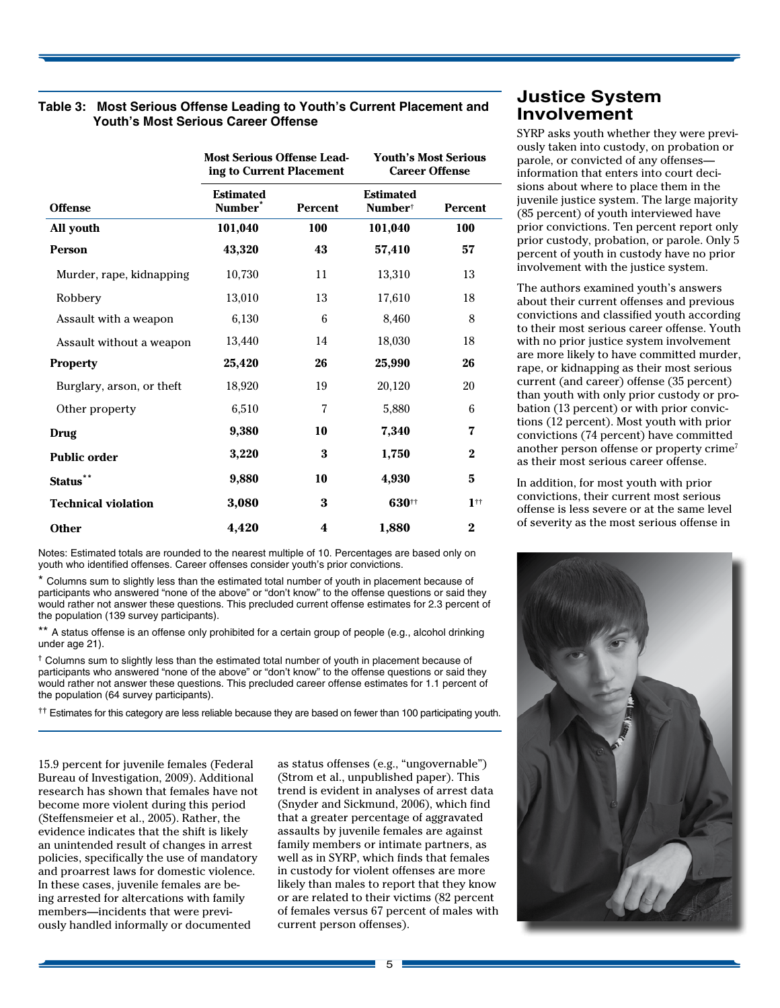# **Table 3: Most Serious Offense Leading to Youth's Current Placement and Youth's Most Serious Career Offense**

|                            | <b>Most Serious Offense Lead-</b><br>ing to Current Placement |                | <b>Youth's Most Serious</b><br><b>Career Offense</b> |                   |
|----------------------------|---------------------------------------------------------------|----------------|------------------------------------------------------|-------------------|
| <b>Offense</b>             | <b>Estimated</b><br>Number <sup>*</sup>                       | <b>Percent</b> | <b>Estimated</b><br>Number <sup>†</sup>              | <b>Percent</b>    |
| All youth                  | 101,040                                                       | 100            | 101,040                                              | <b>100</b>        |
| <b>Person</b>              | 43,320                                                        | 43             | 57,410                                               | 57                |
| Murder, rape, kidnapping   | 10,730                                                        | 11             | 13,310                                               | 13                |
| Robbery                    | 13,010                                                        | 13             | 17,610                                               | 18                |
| Assault with a weapon      | 6,130                                                         | 6              | 8,460                                                | 8                 |
| Assault without a weapon   | 13,440                                                        | 14             | 18,030                                               | 18                |
| <b>Property</b>            | 25,420                                                        | 26             | 25,990                                               | 26                |
| Burglary, arson, or theft  | 18,920                                                        | 19             | 20,120                                               | 20                |
| Other property             | 6,510                                                         | 7              | 5,880                                                | 6                 |
| Drug                       | 9,380                                                         | 10             | 7,340                                                | 7                 |
| <b>Public order</b>        | 3,220                                                         | 3              | 1,750                                                | $\bf{2}$          |
| <b>Status</b>              | 9,880                                                         | 10             | 4,930                                                | 5                 |
| <b>Technical violation</b> | 3,080                                                         | 3              | 630#                                                 | $1$ <sup>††</sup> |
| <b>Other</b>               | 4,420                                                         | 4              | 1,880                                                | $\bf{2}$          |

Notes: Estimated totals are rounded to the nearest multiple of 10. Percentages are based only on youth who identified offenses. Career offenses consider youth's prior convictions.

\* Columns sum to slightly less than the estimated total number of youth in placement because of participants who answered "none of the above" or "don't know" to the offense questions or said they would rather not answer these questions. This precluded current offense estimates for 2.3 percent of the population (139 survey participants).

\*\* A status offense is an offense only prohibited for a certain group of people (e.g., alcohol drinking under age 21).

† Columns sum to slightly less than the estimated total number of youth in placement because of participants who answered "none of the above" or "don't know" to the offense questions or said they would rather not answer these questions. This precluded career offense estimates for 1.1 percent of the population (64 survey participants).

**††** Estimates for this category are less reliable because they are based on fewer than 100 participating youth.

15.9 percent for juvenile females (Federal Bureau of Investigation, 2009). Additional research has shown that females have not become more violent during this period (Steffensmeier et al., 2005). Rather, the evidence indicates that the shift is likely an unintended result of changes in arrest policies, specifically the use of mandatory and proarrest laws for domestic violence. In these cases, juvenile females are being arrested for altercations with family members—incidents that were previously handled informally or documented

as status offenses (e.g., "ungovernable") (Strom et al., unpublished paper). This trend is evident in analyses of arrest data (Snyder and Sickmund, 2006), which find that a greater percentage of aggravated assaults by juvenile females are against family members or intimate partners, as well as in SYRP, which finds that females in custody for violent offenses are more likely than males to report that they know or are related to their victims (82 percent of females versus 67 percent of males with current person offenses).

# **Justice System Involvement**

SYRP asks youth whether they were previously taken into custody, on probation or parole, or convicted of any offenses information that enters into court decisions about where to place them in the juvenile justice system. The large majority (85 percent) of youth interviewed have prior convictions. Ten percent report only prior custody, probation, or parole. Only 5 percent of youth in custody have no prior involvement with the justice system.

The authors examined youth's answers about their current offenses and previous convictions and classified youth according to their most serious career offense. Youth with no prior justice system involvement are more likely to have committed murder, rape, or kidnapping as their most serious current (and career) offense (35 percent) than youth with only prior custody or probation (13 percent) or with prior convictions (12 percent). Most youth with prior convictions (74 percent) have committed another person offense or property crime<sup>7</sup> as their most serious career offense.

In addition, for most youth with prior convictions, their current most serious offense is less severe or at the same level of severity as the most serious offense in

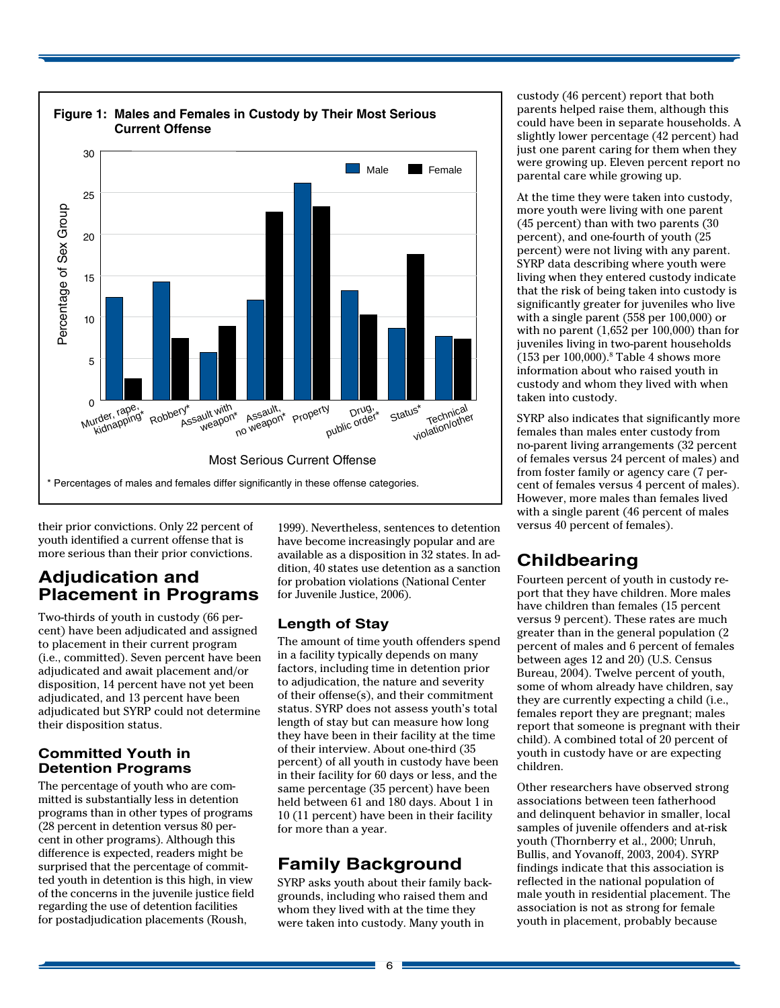

their prior convictions. Only 22 percent of youth identified a current offense that is more serious than their prior convictions.

# **Adjudication and Placement in Programs**

Two-thirds of youth in custody (66 percent) have been adjudicated and assigned to placement in their current program (i.e., committed). Seven percent have been adjudicated and await placement and/or disposition, 14 percent have not yet been adjudicated, and 13 percent have been adjudicated but SYRP could not determine their disposition status.

#### **Committed Youth in Detention Programs**

The percentage of youth who are committed is substantially less in detention programs than in other types of programs (28 percent in detention versus 80 percent in other programs). Although this difference is expected, readers might be surprised that the percentage of committed youth in detention is this high, in view of the concerns in the juvenile justice field regarding the use of detention facilities for postadjudication placements (Roush,

1999). Nevertheless, sentences to detention have become increasingly popular and are available as a disposition in 32 states. In addition, 40 states use detention as a sanction for probation violations (National Center for Juvenile Justice, 2006).

#### **Length of Stay**

The amount of time youth offenders spend in a facility typically depends on many factors, including time in detention prior to adjudication, the nature and severity of their offense(s), and their commitment status. SYRP does not assess youth's total length of stay but can measure how long they have been in their facility at the time of their interview. About one-third (35 percent) of all youth in custody have been in their facility for 60 days or less, and the same percentage (35 percent) have been held between 61 and 180 days. About 1 in 10 (11 percent) have been in their facility for more than a year.

# **Family Background**

SYRP asks youth about their family backgrounds, including who raised them and whom they lived with at the time they were taken into custody. Many youth in

custody (46 percent) report that both parents helped raise them, although this could have been in separate households. A slightly lower percentage (42 percent) had just one parent caring for them when they were growing up. Eleven percent report no parental care while growing up.

At the time they were taken into custody, more youth were living with one parent (45 percent) than with two parents (30 percent), and one-fourth of youth (25 percent) were not living with any parent. SYRP data describing where youth were living when they entered custody indicate that the risk of being taken into custody is significantly greater for juveniles who live with a single parent (558 per 100,000) or with no parent (1,652 per 100,000) than for juveniles living in two-parent households  $(153$  per  $100,000)$ .<sup>8</sup> Table 4 shows more information about who raised youth in custody and whom they lived with when taken into custody.

SYRP also indicates that significantly more females than males enter custody from no-parent living arrangements (32 percent of females versus 24 percent of males) and from foster family or agency care (7 percent of females versus 4 percent of males). However, more males than females lived with a single parent (46 percent of males versus 40 percent of females).

# **Childbearing**

Fourteen percent of youth in custody report that they have children. More males have children than females (15 percent versus 9 percent). These rates are much greater than in the general population (2 percent of males and 6 percent of females between ages 12 and 20) (U.S. Census Bureau, 2004). Twelve percent of youth, some of whom already have children, say they are currently expecting a child (i.e., females report they are pregnant; males report that someone is pregnant with their child). A combined total of 20 percent of youth in custody have or are expecting children.

Other researchers have observed strong associations between teen fatherhood and delinquent behavior in smaller, local samples of juvenile offenders and at-risk youth (Thornberry et al., 2000; Unruh, Bullis, and Yovanoff, 2003, 2004). SYRP findings indicate that this association is reflected in the national population of male youth in residential placement. The association is not as strong for female youth in placement, probably because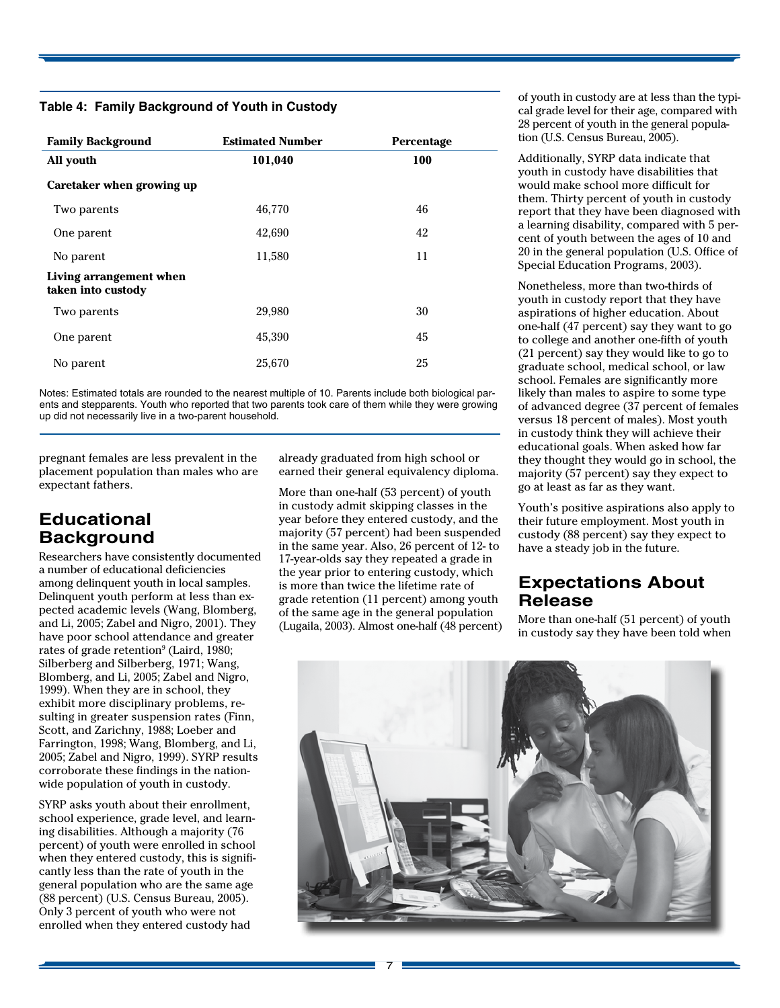#### **Table 4: Family Background of Youth in Custody**

| <b>Family Background</b>                      | <b>Estimated Number</b> | Percentage |
|-----------------------------------------------|-------------------------|------------|
| All youth                                     | 101,040                 | 100        |
| Caretaker when growing up                     |                         |            |
| Two parents                                   | 46,770                  | 46         |
| One parent                                    | 42,690                  | 42         |
| No parent                                     | 11,580                  | 11         |
| Living arrangement when<br>taken into custody |                         |            |
| Two parents                                   | 29,980                  | 30         |
| One parent                                    | 45,390                  | 45         |
| No parent                                     | 25,670                  | 25         |

Notes: Estimated totals are rounded to the nearest multiple of 10. Parents include both biological parents and stepparents. Youth who reported that two parents took care of them while they were growing up did not necessarily live in a two-parent household.

pregnant females are less prevalent in the placement population than males who are expectant fathers.

# **Educational Background**

 Researchers have consistently documented a number of educational deficiencies among delinquent youth in local samples. 1999). When they are in school, they exhibit more disciplinary problems, re- sulting in greater suspension rates (Finn, Scott, and Zarichny, 1988; Loeber and Delinquent youth perform at less than expected academic levels (Wang, Blomberg, and Li, 2005; Zabel and Nigro, 2001). They have poor school attendance and greater rates of grade retention<sup>9</sup> (Laird, 1980; Silberberg and Silberberg, 1971; Wang, Blomberg, and Li, 2005; Zabel and Nigro, Farrington, 1998; Wang, Blomberg, and Li, 2005; Zabel and Nigro, 1999). SYRP results corroborate these findings in the nationwide population of youth in custody.

SYRP asks youth about their enrollment, school experience, grade level, and learning disabilities. Although a majority (76 percent) of youth were enrolled in school when they entered custody, this is significantly less than the rate of youth in the general population who are the same age (88 percent) (U.S. Census Bureau, 2005). Only 3 percent of youth who were not enrolled when they entered custody had

already graduated from high school or earned their general equivalency diploma.

 (Lugaila, 2003). Almost one-half (48 percent) More than one-half (53 percent) of youth in custody admit skipping classes in the year before they entered custody, and the majority (57 percent) had been suspended in the same year. Also, 26 percent of 12- to 17-year-olds say they repeated a grade in the year prior to entering custody, which is more than twice the lifetime rate of grade retention (11 percent) among youth of the same age in the general population

of youth in custody are at less than the typical grade level for their age, compared with 28 percent of youth in the general population (U.S. Census Bureau, 2005).

Additionally, SYRP data indicate that youth in custody have disabilities that would make school more difficult for them. Thirty percent of youth in custody report that they have been diagnosed with a learning disability, compared with 5 percent of youth between the ages of 10 and 20 in the general population (U.S. Office of Special Education Programs, 2003).

Nonetheless, more than two-thirds of youth in custody report that they have aspirations of higher education. About one-half (47 percent) say they want to go to college and another one-fifth of youth (21 percent) say they would like to go to graduate school, medical school, or law school. Females are significantly more likely than males to aspire to some type of advanced degree (37 percent of females versus 18 percent of males). Most youth in custody think they will achieve their educational goals. When asked how far they thought they would go in school, the majority (57 percent) say they expect to go at least as far as they want.

Youth's positive aspirations also apply to their future employment. Most youth in custody (88 percent) say they expect to have a steady job in the future.

# **Expectations About Release**

More than one-half (51 percent) of youth in custody say they have been told when

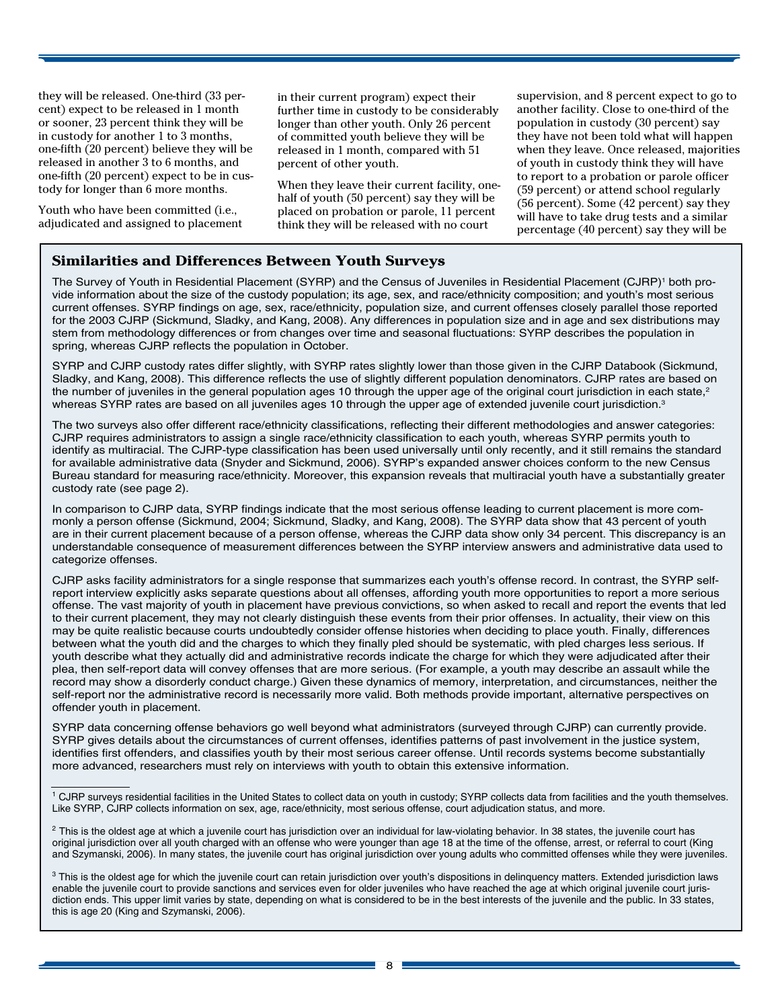they will be released. One-third (33 percent) expect to be released in 1 month or sooner, 23 percent think they will be in custody for another 1 to 3 months, one-fifth (20 percent) believe they will be released in another 3 to 6 months, and one-fifth (20 percent) expect to be in custody for longer than 6 more months.

Youth who have been committed (i.e., adjudicated and assigned to placement in their current program) expect their further time in custody to be considerably longer than other youth. Only 26 percent of committed youth believe they will be released in 1 month, compared with 51 percent of other youth.

When they leave their current facility, onehalf of youth (50 percent) say they will be placed on probation or parole, 11 percent think they will be released with no court

supervision, and 8 percent expect to go to another facility. Close to one-third of the population in custody (30 percent) say they have not been told what will happen when they leave. Once released, majorities of youth in custody think they will have to report to a probation or parole officer (59 percent) or attend school regularly (56 percent). Some (42 percent) say they will have to take drug tests and a similar percentage (40 percent) say they will be

#### **Similarities and Differences Between Youth Surveys**

 The Survey of Youth in Residential Placement (SYRP) and the Census of Juveniles in Residential Placement (CJRP)1 both pro- vide information about the size of the custody population; its age, sex, and race/ethnicity composition; and youth's most serious current offenses. SYRP findings on age, sex, race/ethnicity, population size, and current offenses closely parallel those reported for the 2003 CJRP (Sickmund, Sladky, and Kang, 2008). Any differences in population size and in age and sex distributions may stem from methodology differences or from changes over time and seasonal fluctuations: SYRP describes the population in spring, whereas CJRP reflects the population in October.

 SYRP and CJRP custody rates differ slightly, with SYRP rates slightly lower than those given in the CJRP Databook (Sickmund, Sladky, and Kang, 2008). This difference reflects the use of slightly different population denominators. CJRP rates are based on the number of juveniles in the general population ages 10 through the upper age of the original court jurisdiction in each state,<sup>2</sup> whereas SYRP rates are based on all juveniles ages 10 through the upper age of extended juvenile court jurisdiction.<sup>3</sup>

 The two surveys also offer different race/ethnicity classifications, reflecting their different methodologies and answer categories: CJRP requires administrators to assign a single race/ethnicity classification to each youth, whereas SYRP permits youth to identify as multiracial. The CJRP-type classification has been used universally until only recently, and it still remains the standard for available administrative data (Snyder and Sickmund, 2006). SYRP's expanded answer choices conform to the new Census Bureau standard for measuring race/ethnicity. Moreover, this expansion reveals that multiracial youth have a substantially greater custody rate (see page 2).

 In comparison to CJRP data, SYRP findings indicate that the most serious offense leading to current placement is more com- monly a person offense (Sickmund, 2004; Sickmund, Sladky, and Kang, 2008). The SYRP data show that 43 percent of youth are in their current placement because of a person offense, whereas the CJRP data show only 34 percent. This discrepancy is an understandable consequence of measurement differences between the SYRP interview answers and administrative data used to categorize offenses.

 CJRP asks facility administrators for a single response that summarizes each youth's offense record. In contrast, the SYRP self- report interview explicitly asks separate questions about all offenses, affording youth more opportunities to report a more serious offense. The vast majority of youth in placement have previous convictions, so when asked to recall and report the events that led to their current placement, they may not clearly distinguish these events from their prior offenses. In actuality, their view on this may be quite realistic because courts undoubtedly consider offense histories when deciding to place youth. Finally, differences between what the youth did and the charges to which they finally pled should be systematic, with pled charges less serious. If youth describe what they actually did and administrative records indicate the charge for which they were adjudicated after their plea, then self-report data will convey offenses that are more serious. (For example, a youth may describe an assault while the record may show a disorderly conduct charge.) Given these dynamics of memory, interpretation, and circumstances, neither the self-report nor the administrative record is necessarily more valid. Both methods provide important, alternative perspectives on offender youth in placement.

 SYRP data concerning offense behaviors go well beyond what administrators (surveyed through CJRP) can currently provide. SYRP gives details about the circumstances of current offenses, identifies patterns of past involvement in the justice system, identifies first offenders, and classifies youth by their most serious career offense. Until records systems become substantially more advanced, researchers must rely on interviews with youth to obtain this extensive information.

<sup>&</sup>lt;sup>1</sup> CJRP surveys residential facilities in the United States to collect data on youth in custody; SYRP collects data from facilities and the youth themselves. Like SYRP, CJRP collects information on sex, age, race/ethnicity, most serious offense, court adjudication status, and more.

 $^2$  This is the oldest age at which a juvenile court has jurisdiction over an individual for law-violating behavior. In 38 states, the juvenile court has original jurisdiction over all youth charged with an offense who were younger than age 18 at the time of the offense, arrest, or referral to court (King and Szymanski, 2006). In many states, the juvenile court has original jurisdiction over young adults who committed offenses while they were juveniles.

 $3$  This is the oldest age for which the juvenile court can retain jurisdiction over youth's dispositions in delinquency matters. Extended jurisdiction laws enable the juvenile court to provide sanctions and services even for older juveniles who have reached the age at which original juvenile court jurisdiction ends. This upper limit varies by state, depending on what is considered to be in the best interests of the juvenile and the public. In 33 states, this is age 20 (King and Szymanski, 2006).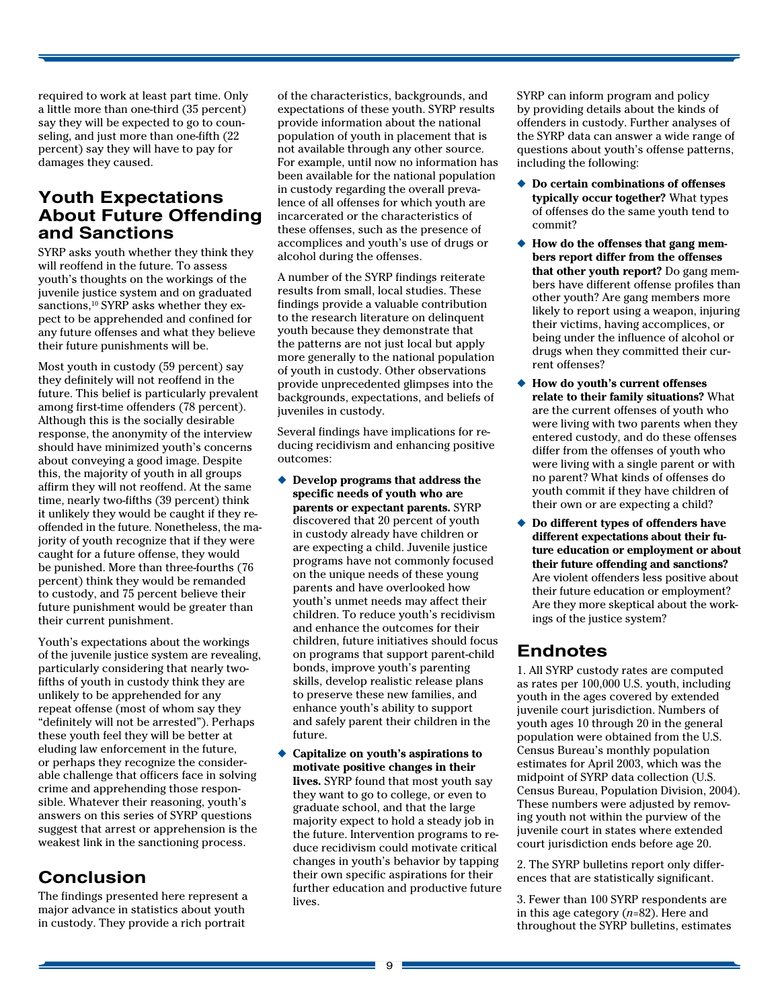required to work at least part time. Only a little more than one-third (35 percent) say they will be expected to go to counseling, and just more than one-fifth (22 percent) say they will have to pay for damages they caused.

# **Youth Expectations About Future Offending and Sanctions**

SYRP asks youth whether they think they will reoffend in the future. To assess youth's thoughts on the workings of the juvenile justice system and on graduated sanctions,<sup>10</sup> SYRP asks whether they expect to be apprehended and confined for any future offenses and what they believe their future punishments will be.

 offended in the future. Nonetheless, the ma-Most youth in custody (59 percent) say they definitely will not reoffend in the future. This belief is particularly prevalent among first-time offenders (78 percent). Although this is the socially desirable response, the anonymity of the interview should have minimized youth's concerns about conveying a good image. Despite this, the majority of youth in all groups affirm they will not reoffend. At the same time, nearly two-fifths (39 percent) think it unlikely they would be caught if they rejority of youth recognize that if they were caught for a future offense, they would be punished. More than three-fourths (76 percent) think they would be remanded to custody, and 75 percent believe their future punishment would be greater than their current punishment.

 Youth's expectations about the workings of the juvenile justice system are revealing, particularly considering that nearly twofifths of youth in custody think they are unlikely to be apprehended for any repeat offense (most of whom say they "definitely will not be arrested"). Perhaps these youth feel they will be better at eluding law enforcement in the future, or perhaps they recognize the considerable challenge that officers face in solving crime and apprehending those responsible. Whatever their reasoning, youth's answers on this series of SYRP questions suggest that arrest or apprehension is the weakest link in the sanctioning process.

# **Conclusion**

The findings presented here represent a major advance in statistics about youth in custody. They provide a rich portrait

of the characteristics, backgrounds, and expectations of these youth. SYRP results provide information about the national population of youth in placement that is not available through any other source. For example, until now no information has been available for the national population in custody regarding the overall prevalence of all offenses for which youth are incarcerated or the characteristics of these offenses, such as the presence of accomplices and youth's use of drugs or alcohol during the offenses.

A number of the SYRP findings reiterate results from small, local studies. These findings provide a valuable contribution to the research literature on delinquent youth because they demonstrate that the patterns are not just local but apply more generally to the national population of youth in custody. Other observations provide unprecedented glimpses into the backgrounds, expectations, and beliefs of juveniles in custody.

Several findings have implications for reducing recidivism and enhancing positive outcomes:

- ◆ Develop programs that address the **specific needs of youth who are parents or expectant parents.** SYRP discovered that 20 percent of youth in custody already have children or are expecting a child. Juvenile justice programs have not commonly focused on the unique needs of these young parents and have overlooked how youth's unmet needs may affect their children. To reduce youth's recidivism and enhance the outcomes for their children, future initiatives should focus on programs that support parent-child bonds, improve youth's parenting skills, develop realistic release plans to preserve these new families, and enhance youth's ability to support and safely parent their children in the future.
- ◆ **Capitalize on youth's aspirations to motivate positive changes in their lives.** SYRP found that most youth say they want to go to college, or even to graduate school, and that the large majority expect to hold a steady job in the future. Intervention programs to reduce recidivism could motivate critical changes in youth's behavior by tapping their own specific aspirations for their further education and productive future lives.

SYRP can inform program and policy by providing details about the kinds of offenders in custody. Further analyses of the SYRP data can answer a wide range of questions about youth's offense patterns, including the following:

- ◆ **Do certain combinations of offenses typically occur together?** What types of offenses do the same youth tend to commit?
- ◆ How do the offenses that gang mem**bers report differ from the offenses that other youth report?** Do gang members have different offense profiles than other youth? Are gang members more likely to report using a weapon, injuring their victims, having accomplices, or being under the influence of alcohol or drugs when they committed their current offenses?
- ◆ **How do youth's current offenses relate to their family situations?** What are the current offenses of youth who were living with two parents when they entered custody, and do these offenses differ from the offenses of youth who were living with a single parent or with no parent? What kinds of offenses do youth commit if they have children of their own or are expecting a child?
- **different expectations about their fu- ture education or employment or about their future offending and sanctions?**  Are violent offenders less positive about their future education or employment? Are they more skeptical about the work- ings of the justice system? ◆ Do different types of offenders have

# **Endnotes**

1. All SYRP custody rates are computed as rates per 100,000 U.S. youth, including youth in the ages covered by extended juvenile court jurisdiction. Numbers of youth ages 10 through 20 in the general population were obtained from the U.S. Census Bureau's monthly population estimates for April 2003, which was the midpoint of SYRP data collection (U.S. Census Bureau, Population Division, 2004). These numbers were adjusted by removing youth not within the purview of the juvenile court in states where extended court jurisdiction ends before age 20.

2. The SYRP bulletins report only differences that are statistically significant.

3. Fewer than 100 SYRP respondents are in this age category (*n*=82). Here and throughout the SYRP bulletins, estimates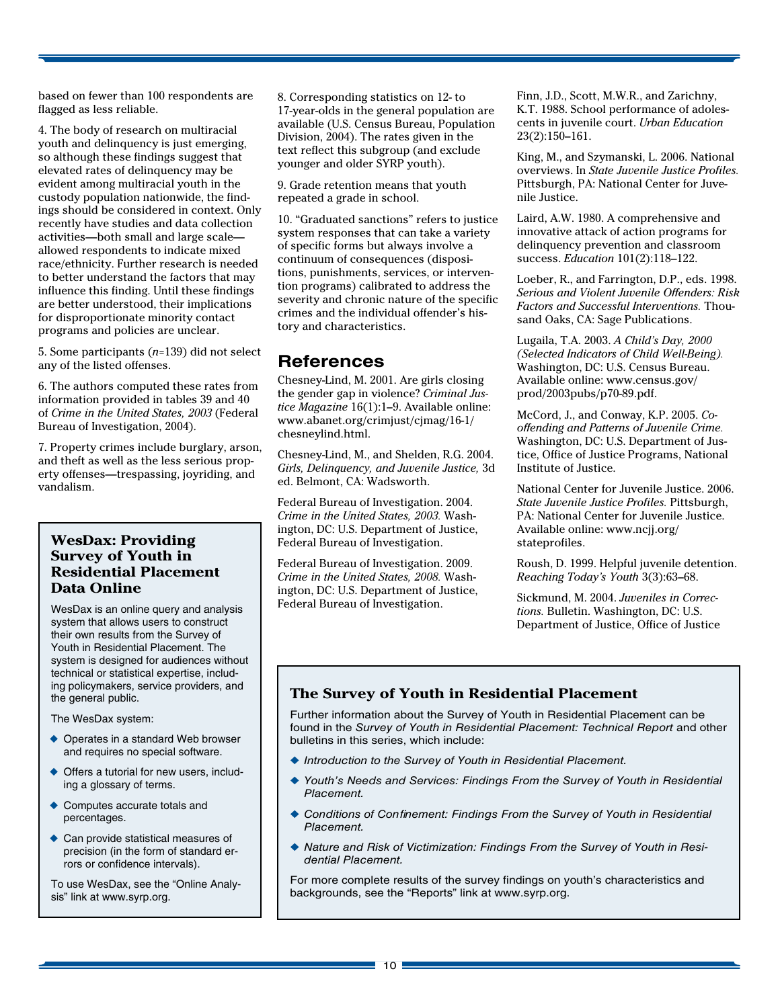based on fewer than 100 respondents are flagged as less reliable.

4. The body of research on multiracial youth and delinquency is just emerging, so although these findings suggest that elevated rates of delinquency may be evident among multiracial youth in the custody population nationwide, the findings should be considered in context. Only recently have studies and data collection activities—both small and large scale allowed respondents to indicate mixed race/ethnicity. Further research is needed to better understand the factors that may influence this finding. Until these findings are better understood, their implications for disproportionate minority contact programs and policies are unclear.

5. Some participants (*n*=139) did not select any of the listed offenses.

6. The authors computed these rates from information provided in tables 39 and 40 of *Crime in the United States, 2003* (Federal Bureau of Investigation, 2004).

7. Property crimes include burglary, arson, and theft as well as the less serious property offenses—trespassing, joyriding, and vandalism.

#### **WesDax: Providing Survey of Youth in Residential Placement Data Online**

WesDax is an online query and analysis system that allows users to construct their own results from the Survey of Youth in Residential Placement. The system is designed for audiences without technical or statistical expertise, including policymakers, service providers, and the general public.

The WesDax system:

- ◆ Operates in a standard Web browser and requires no special software.
- ◆ Offers a tutorial for new users, including a glossary of terms.
- ◆ Computes accurate totals and percentages.
- ◆ Can provide statistical measures of precision (in the form of standard errors or confidence intervals).

To use WesDax, see the "Online Analysis" link at www.syrp.org.

8. Corresponding statistics on 12- to 17-year-olds in the general population are available (U.S. Census Bureau, Population Division, 2004). The rates given in the text reflect this subgroup (and exclude younger and older SYRP youth).

9. Grade retention means that youth repeated a grade in school.

10. "Graduated sanctions" refers to justice system responses that can take a variety of specific forms but always involve a continuum of consequences (dispositions, punishments, services, or intervention programs) calibrated to address the severity and chronic nature of the specific crimes and the individual offender's history and characteristics.

# **References**

Chesney-Lind, M. 2001. Are girls closing the gender gap in violence? *Criminal Justice Magazine* 16(1):1–9. Available online: www.abanet.org/crimjust/cjmag/16-1/ chesneylind.html.

Chesney-Lind, M., and Shelden, R.G. 2004. *Girls, Delinquency, and Juvenile Justice,* 3d ed. Belmont, CA: Wadsworth.

Federal Bureau of Investigation. 2004. *Crime in the United States, 2003.* Washington, DC: U.S. Department of Justice, Federal Bureau of Investigation.

Federal Bureau of Investigation. 2009. *Crime in the United States, 2008.* Washington, DC: U.S. Department of Justice, Federal Bureau of Investigation.

Finn, J.D., Scott, M.W.R., and Zarichny, K.T. 1988. School performance of adolescents in juvenile court. *Urban Education*  23(2):150–161.

King, M., and Szymanski, L. 2006. National overviews. In *State Juvenile Justice Profiles.*  Pittsburgh, PA: National Center for Juvenile Justice.

Laird, A.W. 1980. A comprehensive and innovative attack of action programs for delinquency prevention and classroom success. *Education* 101(2):118–122.

Loeber, R., and Farrington, D.P., eds. 1998. *Serious and Violent Juvenile Offenders: Risk Factors and Successful Interventions.* Thousand Oaks, CA: Sage Publications.

Lugaila, T.A. 2003. *A Child's Day, 2000 (Selected Indicators of Child Well-Being).*  Washington, DC: U.S. Census Bureau. Available online: www.census.gov/ prod/2003pubs/p70-89.pdf.

McCord, J., and Conway, K.P. 2005. *Cooffending and Patterns of Juvenile Crime.*  Washington, DC: U.S. Department of Justice, Office of Justice Programs, National Institute of Justice.

National Center for Juvenile Justice. 2006. *State Juvenile Justice Profiles.* Pittsburgh, PA: National Center for Juvenile Justice. Available online: www.ncjj.org/ stateprofiles.

Roush, D. 1999. Helpful juvenile detention. *Reaching Today's Youth* 3(3):63–68.

Sickmund, M. 2004. *Juveniles in Corrections.* Bulletin. Washington, DC: U.S. Department of Justice, Office of Justice

## **The Survey of Youth in Residential Placement**

Further information about the Survey of Youth in Residential Placement can be found in the *Survey of Youth in Residential Placement: Technical Report* and other bulletins in this series, which include:

- ◆ *Introduction to the Survey of Youth in Residential Placement.*
- ◆ *Youth's Needs and Services: Findings From the Survey of Youth in Residential Placement.*
- ◆ Conditions of Confinement: Findings From the Survey of Youth in Residential *Placement.*
- ◆ Nature and Risk of Victimization: Findings From the Survey of Youth in Resi*dential Placement.*

For more complete results of the survey findings on youth's characteristics and backgrounds, see the "Reports" link at www.syrp.org.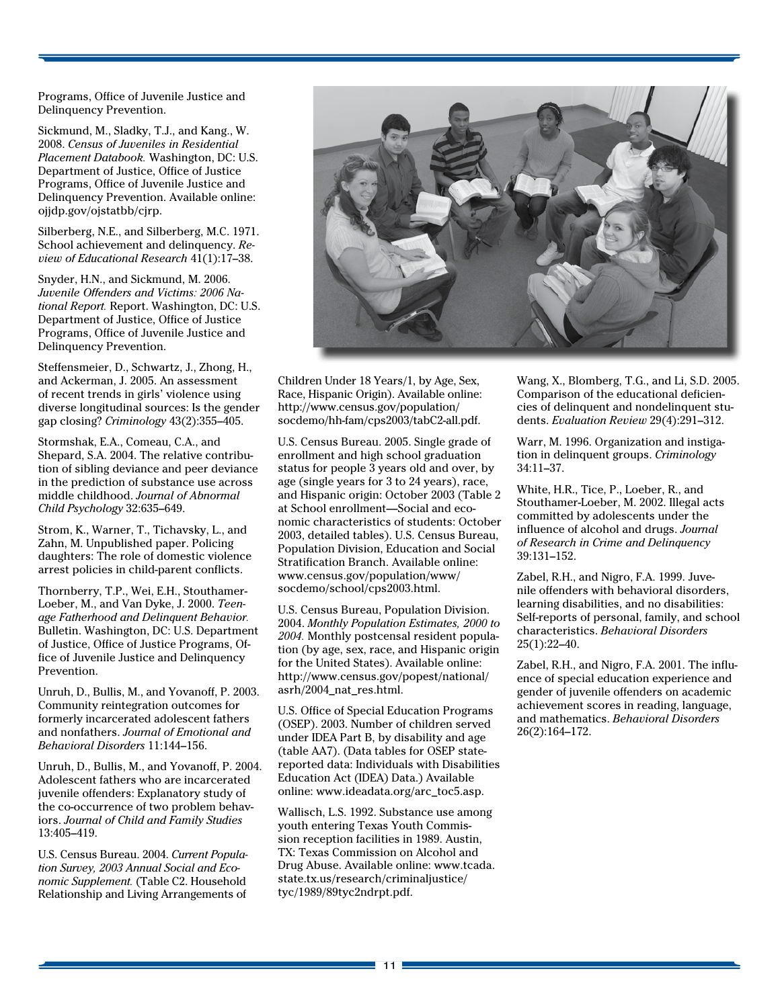Programs, Office of Juvenile Justice and Delinquency Prevention.

Sickmund, M., Sladky, T.J., and Kang., W. 2008. *Census of Juveniles in Residential Placement Databook.* Washington, DC: U.S. Department of Justice, Office of Justice Programs, Office of Juvenile Justice and Delinquency Prevention. Available online: ojjdp.gov/ojstatbb/cjrp.

Silberberg, N.E., and Silberberg, M.C. 1971. School achievement and delinquency. *Review of Educational Research* 41(1):17–38.

Snyder, H.N., and Sickmund, M. 2006. *Juvenile Offenders and Victims: 2006 National Report.* Report. Washington, DC: U.S. Department of Justice, Office of Justice Programs, Office of Juvenile Justice and Delinquency Prevention.

Steffensmeier, D., Schwartz, J., Zhong, H., and Ackerman, J. 2005. An assessment of recent trends in girls' violence using diverse longitudinal sources: Is the gender gap closing? *Criminology* 43(2):355–405.

Stormshak, E.A., Comeau, C.A., and Shepard, S.A. 2004. The relative contribution of sibling deviance and peer deviance in the prediction of substance use across middle childhood. *Journal of Abnormal Child Psychology* 32:635–649.

Strom, K., Warner, T., Tichavsky, L., and Zahn, M. Unpublished paper. Policing daughters: The role of domestic violence arrest policies in child-parent conflicts.

Thornberry, T.P., Wei, E.H., Stouthamer-Loeber, M., and Van Dyke, J. 2000. *Teenage Fatherhood and Delinquent Behavior.*  Bulletin. Washington, DC: U.S. Department of Justice, Office of Justice Programs, Office of Juvenile Justice and Delinquency Prevention.

 Unruh, D., Bullis, M., and Yovanoff, P. 2003. Community reintegration outcomes for formerly incarcerated adolescent fathers and nonfathers. *Journal of Emotional and Behavioral Disorders* 11:144–156.

Unruh, D., Bullis, M., and Yovanoff, P. 2004. Adolescent fathers who are incarcerated juvenile offenders: Explanatory study of the co-occurrence of two problem behaviors. *Journal of Child and Family Studies*  13:405–419.

 U.S. Census Bureau. 2004. *Current Popula- tion Survey, 2003 Annual Social and Eco- nomic Supplement.* (Table C2. Household Relationship and Living Arrangements of



 Children Under 18 Years/1, by Age, Sex, Race, Hispanic Origin). Available online: http://www.census.gov/population/ socdemo/hh-fam/cps2003/tabC2-all.pdf.

U.S. Census Bureau. 2005. Single grade of enrollment and high school graduation status for people 3 years old and over, by age (single years for 3 to 24 years), race, and Hispanic origin: October 2003 (Table 2 at School enrollment—Social and economic characteristics of students: October 2003, detailed tables). U.S. Census Bureau, Population Division, Education and Social Stratification Branch. Available online: www.census.gov/population/www/ socdemo/school/cps2003.html.

U.S. Census Bureau, Population Division. 2004. *Monthly Population Estimates, 2000 to 2004.* Monthly postcensal resident population (by age, sex, race, and Hispanic origin for the United States). Available online: http://www.census.gov/popest/national/ asrh/2004\_nat\_res.html.

U.S. Office of Special Education Programs (OSEP). 2003. Number of children served under IDEA Part B, by disability and age (table AA7). (Data tables for OSEP statereported data: Individuals with Disabilities Education Act (IDEA) Data.) Available online: www.ideadata.org/arc\_toc5.asp.

Wallisch, L.S. 1992. Substance use among youth entering Texas Youth Commission reception facilities in 1989. Austin, TX: Texas Commission on Alcohol and Drug Abuse. Available online: www.tcada. state.tx.us/research/criminaljustice/ tyc/1989/89tyc2ndrpt.pdf.

Wang, X., Blomberg, T.G., and Li, S.D. 2005. Comparison of the educational deficiencies of delinquent and nondelinquent students. *Evaluation Review* 29(4):291–312.

Warr, M. 1996. Organization and instigation in delinquent groups. *Criminology*  34:11–37.

White, H.R., Tice, P., Loeber, R., and Stouthamer-Loeber, M. 2002. Illegal acts committed by adolescents under the influence of alcohol and drugs. *Journal of Research in Crime and Delinquency*  39:131–152.

Zabel, R.H., and Nigro, F.A. 1999. Juvenile offenders with behavioral disorders, learning disabilities, and no disabilities: Self-reports of personal, family, and school characteristics. *Behavioral Disorders*  25(1):22–40.

Zabel, R.H., and Nigro, F.A. 2001. The influence of special education experience and gender of juvenile offenders on academic achievement scores in reading, language, and mathematics. *Behavioral Disorders*  26(2):164–172.